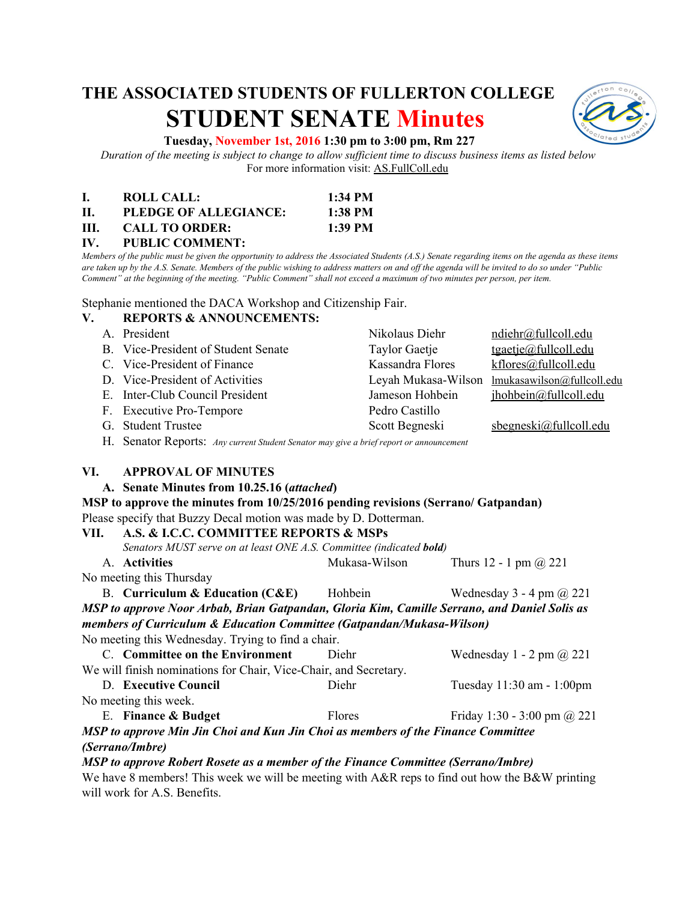# **THE ASSOCIATED STUDENTS OF FULLERTON COLLEGE STUDENT SENATE Minutes**



## **Tuesday, November 1st, 2016 1:30 pm to 3:00 pm, Rm 227**

*Duration of the meeting is subject to change to allow sufficient time to discuss business items as listed below* For more information visit: AS.FullColl.edu

|     | ROLL CALL:            | $1:34$ PM |
|-----|-----------------------|-----------|
| П.  | PLEDGE OF ALLEGIANCE: | 1:38 PM   |
| HL. | <b>CALL TO ORDER:</b> | 1:39 PM   |

**IV. PUBLIC COMMENT:**

*Members of the public must be given the opportunity to address the Associated Students (A.S.) Senate regarding items on the agenda as these items are taken up by the A.S. Senate. Members of the public wishing to address matters on and off the agenda will be invited to do so under "Public Comment" at the beginning of the meeting. "Public Comment" shall not exceed a maximum of two minutes per person, per item.*

Stephanie mentioned the DACA Workshop and Citizenship Fair.

# **V. REPORTS & ANNOUNCEMENTS:**

- A. President **A. President** Nikolaus Diehr [ndiehr@fullcoll.edu](mailto:ndiehr@fullcoll.edu)
- B. Vice-President of Student Senate Taylor Gaetje [tgaetje@fullcoll.edu](mailto:tgaetje@fullcoll.edu)
- C. Vice-President of Finance Kassandra Flores [kflores@fullcoll.edu](mailto:kflores@fullcoll.edu)
- D. Vice-President of Activities Leyah Mukasa-Wilson [lmukasawilson@fullcoll.edu](mailto:lmukasawilson@fullcoll.edu)
- E. Inter-Club Council President Jameson Hohbein [jhohbein@fullcoll.edu](mailto:jhohbein@fullcoll.edu)
- F. Executive Pro-Tempore Pedro Castillo
- G. Student Trustee Scott Begneski sbegneski@fullcoll.edu
- H. Senator Reports: *Any current Student Senator may give a brief report or announcement*

### **VI. APPROVAL OF MINUTES**

### A. Senate Minutes from 10.25.16 (*attached*)

### **MSP to approve the minutes from 10/25/2016 pending revisions (Serrano/ Gatpandan)** Please specify that Buzzy Decal motion was made by D. Dotterman.

# **VII. A.S. & I.C.C. COMMITTEE REPORTS & MSPs**

| .                                                                                            | A.S. & I.C.C. COMMITTEE IVEL ON 19 & MSI 3                                  |               |                                   |  |
|----------------------------------------------------------------------------------------------|-----------------------------------------------------------------------------|---------------|-----------------------------------|--|
|                                                                                              | Senators MUST serve on at least ONE A.S. Committee (indicated <b>bold</b> ) |               |                                   |  |
|                                                                                              | A. Activities                                                               | Mukasa-Wilson | Thurs 12 - 1 pm $(a)$ 221         |  |
| No meeting this Thursday                                                                     |                                                                             |               |                                   |  |
|                                                                                              | <b>B.</b> Curriculum & Education $(CAE)$                                    | Hohbein       | Wednesday $3 - 4$ pm $\omega$ 221 |  |
| MSP to approve Noor Arbab, Brian Gatpandan, Gloria Kim, Camille Serrano, and Daniel Solis as |                                                                             |               |                                   |  |
| members of Curriculum & Education Committee (Gatpandan/Mukasa-Wilson)                        |                                                                             |               |                                   |  |

No meeting this Wednesday. Trying to find a chair. C. **Committee on the Environment** Diehr Wednesday 1 - 2 pm @ 221 We will finish nominations for Chair, Vice-Chair, and Secretary. D. **Executive Council** Diehr Tuesday 11:30 am - 1:00pm

No meeting this week. E. **Finance & Budget** Flores Friday 1:30 - 3:00 pm @ 221

*MSP to approve Min Jin Choi and Kun Jin Choi as members of the Finance Committee (Serrano/Imbre)*

*MSP to approve Robert Rosete as a member of the Finance Committee (Serrano/Imbre)*

We have 8 members! This week we will be meeting with A&R reps to find out how the B&W printing will work for A.S. Benefits.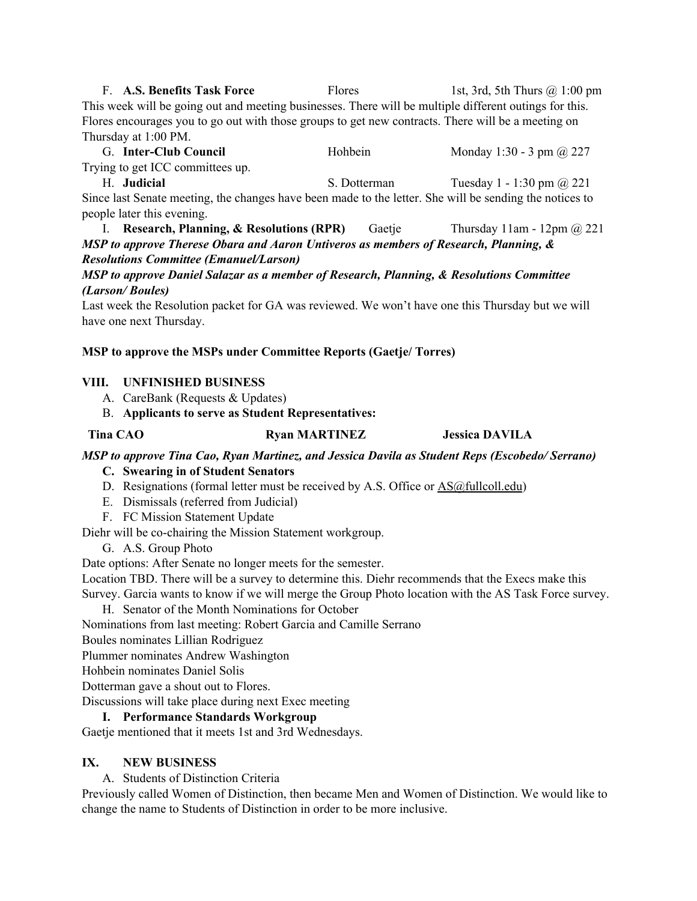F. **A.S. Benefits Task Force** Flores 1st, 3rd, 5th Thurs @ 1:00 pm This week will be going out and meeting businesses. There will be multiple different outings for this. Flores encourages you to go out with those groups to get new contracts. There will be a meeting on Thursday at 1:00 PM.

G. **Inter-Club Council** Hohbein Monday 1:30 - 3 pm @ 227 Trying to get ICC committees up.

H. **Judicial** S. Dotterman Tuesday 1 - 1:30 pm @ 221 Since last Senate meeting, the changes have been made to the letter. She will be sending the notices to people later this evening.

I. **Research, Planning, & Resolutions (RPR)** Gaetje Thursday 11am - 12pm @ 221 *MSP to approve Therese Obara and Aaron Untiveros as members of Research, Planning, & Resolutions Committee (Emanuel/Larson)*

# *MSP to approve Daniel Salazar as a member of Research, Planning, & Resolutions Committee (Larson/ Boules)*

Last week the Resolution packet for GA was reviewed. We won't have one this Thursday but we will have one next Thursday.

# **MSP to approve the MSPs under Committee Reports (Gaetje/ Torres)**

# **VIII. UNFINISHED BUSINESS**

- A. CareBank (Requests & Updates)
- B. **Applicants to serve as Student Representatives:**

# **Tina CAO Ryan MARTINEZ Jessica DAVILA**

*MSP to approve Tina Cao, Ryan Martinez, and Jessica Davila as Student Reps (Escobedo/ Serrano)*

- **C. Swearing in of Student Senators**
- D. Resignations (formal letter must be received by A.S. Office or **AS@fullcoll.edu**)
- E. Dismissals (referred from Judicial)
- F. FC Mission Statement Update

Diehr will be co-chairing the Mission Statement workgroup.

G. A.S. Group Photo

Date options: After Senate no longer meets for the semester.

Location TBD. There will be a survey to determine this. Diehr recommends that the Execs make this Survey. Garcia wants to know if we will merge the Group Photo location with the AS Task Force survey.

H. Senator of the Month Nominations for October

Nominations from last meeting: Robert Garcia and Camille Serrano

Boules nominates Lillian Rodriguez

Plummer nominates Andrew Washington

- Hohbein nominates Daniel Solis
- Dotterman gave a shout out to Flores.

Discussions will take place during next Exec meeting

# **I. Performance Standards Workgroup**

Gaetje mentioned that it meets 1st and 3rd Wednesdays.

# **IX. NEW BUSINESS**

A. Students of Distinction Criteria

Previously called Women of Distinction, then became Men and Women of Distinction. We would like to change the name to Students of Distinction in order to be more inclusive.